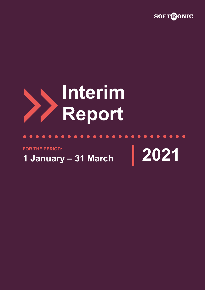

# **Interim Report**

**FOR THE PERIOD:**

**1 January – 31 March 2021**

 $\bullet$ 

 $\bullet\hspace{0.2cm} \bullet\hspace{0.2cm} \bullet\hspace{0.2cm} \bullet\hspace{0.2cm} \bullet\hspace{0.2cm} \bullet\hspace{0.2cm} \bullet\hspace{0.2cm} \bullet$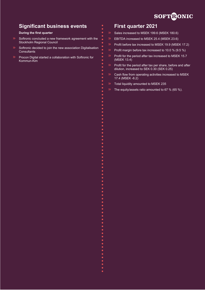# **SOFTRONIC**

# **Significant business events**

#### **During the first quarter**

- Softronic concluded a new framework agreement with the Stockholm Regional Council
- Softronic decided to join the new association Digitalisation **Consultants**
- Procon Digital started a collaboration with Softronic for Kommun-Kim

## **First quarter 2021**

- Sales increased to MSEK 199.6 (MSEK 180.6)
- EBITDA increased to MSEK 25.4 (MSEK 23.6)
- Profit before tax increased to MSEK 19.9 (MSEK 17.2)
- Profit margin before tax increased to 10.0 % (9.5 %)
- Profit for the period after tax increased to MSEK 15.7 (MSEK 13.4)
- Profit for the period after tax per share, before and after dilution, increased to SEK 0.30 (SEK 0.25)
- Cash flow from operating activities increased to MSEK 17.4 (MSEK -8.2)
- Total liquidity amounted to MSEK 235
- The equity/assets ratio amounted to 67 % (65 %).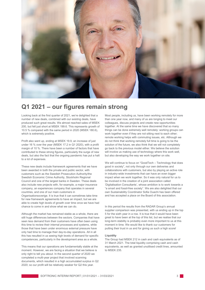

# **Q1 2021 – our figures remain strong**

Looking back at the first quarter of 2021, we're delighted that a number of new deals, combined with our existing deals, have produced such great results. We almost reached sales of MSEK 200, but fell just short at MSEK 199.6. This represents growth of 10.5 % compared with the same period in 2020 (MSEK 180.6), which is extremely positive.

Profit also went up, ending at MSEK 19.9, an increase of just under 16 % over the year (MSEK 17.2 in Q1 2020), with a profit margin of 10 %. There have been a number of factors that have contributed to these strong figures, particularly the surge of new deals, but also the fact that the ongoing pandemic has put a halt to a lot of expenses.

These new deals include framework agreements that we have been awarded in both the private and public sector, with customers such as the Swedish Prosecution Authority/the Swedish Economic Crime Authority, Stockholm Regional Council and one of the largest banks in Sweden. These deals also include new projects with, for example, a major insurance company, an experiences company that operates in several countries, and one of our main customers in Organisationssverige. It is true that it can sometimes take time for new framework agreements to have an impact, but we are able to create high levels of growth over time once we have had chance to come in and show what we can do.

Although the market has remained stable as a whole, there are still huge differences between the sectors. Companies that have seen less demand from their customers have often been using this time to review their internal processes and systems, while those that have been under enormous external pressure have only had time to manage their day-to-day operations. All in all this has resulted in us seeing high levels of demand for specific competences, particularly in the development area as a whole.

This means that our operations are fundamentally stable at the moment. However, we are facing a situation that we believe is only right to tell you about. In the second quarter of 2020 we completed a multi-year project that involved scanning documents, which resulted in a high accumulated surplus in Q2 2020; so our profit will be relatively weaker for Q2 this year.

Most people, including us, have been working remotely for more than one year now, and many of us are longing to meet our colleagues, discuss projects and create new opportunities together. At the same time we have discovered that so many things can be done extremely well remotely: working groups can work together even if they are not sitting next to each other; remote working helps with commuting issues, etc. Although we do not think that working remotely full time is going to be the solution of the future, we also think that we will not completely go back to the previous model either. We believe the solution will involve us making use of technology where this work well, but also developing the way we work together on site.

We will continue to focus on "GoodTech – Technology that does good in society", not only through our own deliveries and collaborations with customers, but also by playing an active role in industry-wide investments that can have an even bigger impact when we work together. So it was only natural for us to be involved in the creation of a joint association called 'Digitalisation Consultants', whose ambition is to work towards a "a smart and fossil-free society". We are also delighted that our own Sustainability Coordinator Sofia Ouachi has been offered and has accepted a place on the Board of this association.

In this period the results from the RADAR Group's annual supplier comparison was presented, with us ending up in the top 5 for the sixth year in a row. It is true that it would have been great to have been at the top of this list, but we realise that our long-term stability is probably even more important to us at this moment in time. We would like to thank our customers for putting their trust in us and for giving us such a high score!

#### **Liquidity**

The Group had MSEK 212 in cash and cash equivalents as of 31 March 2021. The total liquidity comprising cash and cash equivalents, as well as granted unutilised credit lines, amounted to MSEK 235.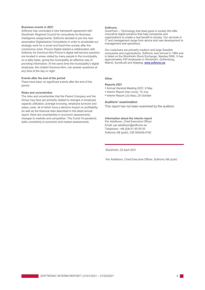#### **Business events in 2021**

Softronic has concluded a new framework agreement with Stockholm Regional Council for consultants for Business Intelligence assignments. Softronic decided to join the new association Digitalisation Consultants in order to accelerate our strategic work for a smart and fossil-free society after the coronavirus crisis. Procon Digital started a collaboration with Softronic for Kommun-Kim Procon's digital self-service solutions are located in areas visited by many people in the municipality on a daily basis, giving the municipality an effective way of providing information. At the same time the municipality's digital employee, the chatbot Kommun-Kim, can answer questions at any time of the day or night.

#### **Events after the end of the period**

There have been no significant events after the end of the period.

#### **Risks and uncertainties**

The risks and uncertainties that the Parent Company and the Group may face are primarily related to changes in employee capacity utilisation, average invoicing, employee turnover and salary costs, all of which have a decisive impact on profitability. As well as the financial risks described in the latest annual report, there are uncertainties in economic assessments, changes to markets and competition. The Covid-19 pandemic adds uncertainty to economic and market assessments.

#### **Softronic**

GoodTech – Technology that does good in society We offer innovative digital solutions that help companies and organisations to create a real benefit to society. Our services in IT and management range from advice and new development to management and operations.

Our customers are primarily medium and large Swedish companies and organisations. Softronic was formed in 1984 and is listed on the Stockholm Stock Exchange, Nasdaq OMX. It has approximately 430 employees in Stockholm, Gothenburg, Malmö, Sundsvall and Arjeplog[. www.softronic.se](http://www.softronic.se/)

#### **Other**

#### **Reports 2021**

- Annual General Meeting 2021, 6 May
- Interim Report (Apr-June), 16 July
- Interim Report (Jul-Sep), 20 October

#### **Auditors' examination**

This report has not been examined by the auditors.

#### **Information about the interim report**

Per Adolfsson, Chief Executive Officer Email[: per](mailto:per.adolfsson@softronic.se)[.adolfsson@softronic.se](mailto:.adolfsson@softronic.se) Telephone: +46 (0)8-51 90 90 00 Softronic AB (publ), CIN 556249-0192

Stockholm, 22 April 2021

Per Adolfsson, Chief Executive Officer, Softronic AB (publ)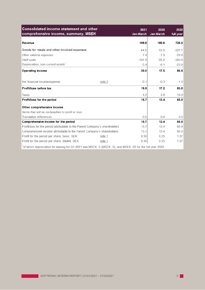| <b>Consolidated income statement and other</b><br>comprehensive income, summary, MSEK                     |        | 2021<br>Jan-March | 2020<br>Jan-March | 2020<br>full year |
|-----------------------------------------------------------------------------------------------------------|--------|-------------------|-------------------|-------------------|
| <b>Revenue</b>                                                                                            |        | 199.6             | 180.6             | 728.5             |
| Goods for resale and other invoiced expenses                                                              |        | $-64.9$           | $-53.9$           | $-227.1$          |
| Other external expenses                                                                                   |        | $-7.4$            | $-7.9$            | $-29.8$           |
| Staff costs                                                                                               |        | $-101.9$          | $-95.2$           | $-360.9$          |
| Depreciation, non-current assets <sup>1</sup>                                                             |        | $-5.4$            | $-6.1$            | $-23.9$           |
| <b>Operating income</b>                                                                                   |        | 20.0              | 17.5              | 86.8              |
| Net financial income/expense                                                                              | note 2 | $-0.1$            | $-0.3$            | $-1.0$            |
| Profit/loss before tax                                                                                    |        | 19.9              | 17.2              | 85.8              |
| <b>Taxes</b>                                                                                              |        | $-4.2$            | $-3.8$            | $-18.9$           |
| Profit/loss for the period                                                                                |        | 15.7              | 13.4              | 66.9              |
| Other comprehensive income                                                                                |        |                   |                   |                   |
| Items that will be reclassified to profit or loss                                                         |        |                   |                   |                   |
| <b>Translation differences</b>                                                                            |        | 0.0               | 0.0               | 0.0               |
| Comprehensive income for the period                                                                       |        | 15.7              | 13.4              | 66.9              |
| Profit/loss for the period attributable to the Parent Company's shareholders                              |        | 15.7              | 13.4              | 66.9              |
| Comprehensive income attributable to the Parent Company's shareholders                                    |        | 15.7              | 13.4              | 66.9              |
| Profit for the period per share, basic, SEK                                                               | note 1 | 0.30              | 0.25              | 1.27              |
| Profit for the period per share, diluted, SEK                                                             | note 1 | 0.30              | 0.25              | 1.27              |
| of which depreciation for leasing for Q1 2021 was MSEK -5 (MSEK -5); and MSEK -20 for the full year 2020. |        |                   |                   |                   |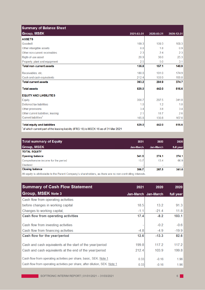| <b>Summary of Balance Sheet</b>                                                                                              |            |            |            |
|------------------------------------------------------------------------------------------------------------------------------|------------|------------|------------|
| <b>Group, MSEK</b>                                                                                                           | 2021-03-31 | 2020-03-31 | 2020-12-31 |
| <b>ASSETS</b>                                                                                                                |            |            |            |
| Goodwill                                                                                                                     | 109.3      | 109.3      | 109.3      |
| Other intangible assets                                                                                                      | 0.8        | 1.8        | 0.9        |
| Other non-current receivables                                                                                                | 2.3        | 2.4        | 2.3        |
| Right-of-use asset                                                                                                           | 20.9       | 38.6       | 25.3       |
| Property, plant and equipment                                                                                                | 2.5        | 5.0        | 3.1        |
| <b>Total non-current assets</b>                                                                                              | 135.8      | 157.1      | 140.9      |
| Receivables, etc.                                                                                                            | 180.8      | 181.0      | 174.9      |
| Cash and cash equivalents                                                                                                    | 212.4      | 103.9      | 199.8      |
| <b>Total current assets</b>                                                                                                  | 393.2      | 284.9      | 374.7      |
| <b>Total assets</b>                                                                                                          | 529.0      | 442.0      | 515.6      |
| <b>EQUITY AND LIABILITIES</b>                                                                                                |            |            |            |
| Equity                                                                                                                       | 356.7      | 287.5      | 341.0      |
| Deferred tax liabilities                                                                                                     | 1.0        | 12         | 1.0        |
| Other provisions                                                                                                             | 3.4        | 3.8        | 3.4        |
| Other current liabilities, leasing                                                                                           | 2.1        | 18.7       | 2.6        |
| Current liabilities <sup>1</sup>                                                                                             | 165.8      | 130.8      | 167.6      |
| <b>Total equity and liabilities</b><br>of which current part of the leasing liability (IFRS 16) is MSEK 16 as of 31 Mar 2021 | 529.0      | 442.0      | 515.6      |

| <b>Total summary of Equity</b>                                                                           | 2021      | 2020      | 2020      |
|----------------------------------------------------------------------------------------------------------|-----------|-----------|-----------|
| Group, MSEK                                                                                              | Jan-March | Jan-March | full year |
| <b>TOTAL EQUITY</b>                                                                                      |           |           |           |
| <b>Opening balance</b>                                                                                   | 341.0     | 274.1     | 274.1     |
| Comprehensive income for the period                                                                      | 15.7      | 13.4      | 66.9      |
| <b>Dividend</b>                                                                                          |           |           |           |
| <b>Closing balance</b>                                                                                   | 356.7     | 287.5     | 341.0     |
| All equity is officially to the Derept Company's shareholders, as there are no non-controlling intersets |           |           |           |

All equity is attributable to the Parent Company's shareholders, as there are no non-controlling interests.

| <b>Summary of Cash Flow Statement</b>                                                                                | 2021           | 2020                | 2020              |
|----------------------------------------------------------------------------------------------------------------------|----------------|---------------------|-------------------|
| <b>Group, MSEK Note 3</b>                                                                                            |                | Jan-March Jan-March | full year         |
| Cash flow from operating activities                                                                                  |                |                     |                   |
| before changes in working capital                                                                                    | 18.5           | 13.2                | 91.3              |
| Changes to working capital,                                                                                          | $-1.1$         | $-21.4$             | 11.8              |
| <b>Cash flow from operating activities</b>                                                                           | 17.4           | $-8.2$              | 103.1             |
| Cash flow from investing activities<br>Cash flow from financing activities                                           | $-4.8$         | $-0.2$<br>$-4.9$    | $-0.6$<br>$-19.9$ |
| Cash flow for the year/period                                                                                        | 12.6           | $-13.3$             | 82.6              |
| Cash and cash equivalents at the start of the year/period<br>Cash and cash equivalents at the end of the year/period | 199.8<br>212.4 | 117.2<br>103.9      | 117.2<br>199.8    |
| Cash flow from operating activities per share, basic, SEK. Note 1                                                    | 0.33           | $-0.16$             | 1.96              |
| Cash flow from operating activities per share, after dilution, SEK. Note 1                                           | 0.33           | $-0.16$             | 1.96              |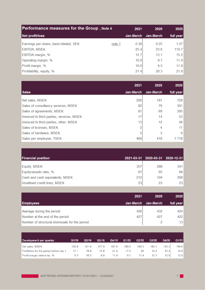| <b>Performance measures for the Group, Note 4</b> |        | 2021      | 2020      | 2020      |
|---------------------------------------------------|--------|-----------|-----------|-----------|
| Net profit/loss                                   |        | Jan-March | Jan-March | full year |
| Earnings per share, basic/diluted, SEK            | note 1 | 0.30      | 0.25      | 1.27      |
| <b>EBITDA, MSEK</b>                               |        | 25.4      | 23.6      | 110.7     |
| <b>EBITDA margin, %</b>                           |        | 12.7      | 13.1      | 15.2      |
| Operating margin, %                               |        | 10.0      | 9.7       | 11.9      |
| Profit margin, %                                  |        | 10.0      | 9.5       | 11.8      |
| Profitability, equity, %                          |        | 21.4      | 20.3      | 21.8      |

|                                           | 2021      | 2020      | 2020            |
|-------------------------------------------|-----------|-----------|-----------------|
| <b>Sales</b>                              | Jan-March | Jan-March | full year       |
| Net sales, MSEK                           | 200       | 181       | 728             |
| Sales of consultancy services, MSEK       | 82        | 79        | 301             |
| Sales of agreements, MSEK                 | 81        | 69        | 305             |
| Invoiced to third parties, services, MSEK | 17        | 14        | 53              |
| Invoiced to third parties, other, MSEK    | 13        | 12        | 49              |
| Sales of licenses, MSEK                   |           | 4         | 11 <sup>1</sup> |
| Sales of hardware, MSEK                   |           | 3         | 9               |
| Sales per employee, TSEK                  | 469       | 418       | 1 718           |

| <b>Financial position</b>       |     | 2021-03-31 2020-03-31 2020-12-31 |     |
|---------------------------------|-----|----------------------------------|-----|
|                                 |     |                                  |     |
| Equity, MSEK                    | 357 | 288                              | 341 |
| Equity/assets ratio, %          | 67  | 65                               | 66  |
| Cash and cash equivalents, MSEK | 212 | 104                              | 200 |
| Unutilised credit lines, MSEK   | 23  | 23                               | 23  |

|                                                | 2021      | 2020      | 2020            |
|------------------------------------------------|-----------|-----------|-----------------|
| <b>Employees</b>                               | Jan-March | Jan-March | full year       |
| Average during the period                      | 426       | 432       | 424             |
| Number at the end of the period                | 427       | 427       | 422             |
| Number of structural dismissals for the period |           |           | 13 <sup>°</sup> |

| Development per quarter                  | Q1/19 | Q2/19 | Q3/19 | Q4/19 | Q1/20 | Q2/20 | Q3/20 | Q4/20 | Q1/21 |
|------------------------------------------|-------|-------|-------|-------|-------|-------|-------|-------|-------|
| Net sales, MSEK                          | 183.6 | 191.6 | 157.0 | 187.8 | 180.6 | 194.5 | 160.1 | 193.3 | 199.6 |
| Profit/loss for the period before tax, I | 17.1  | 19.8  | 13.8  | 21.4  | 17.2  | 26    | 19.4  | 23.2  | 19.9  |
| Profit margin before tax, %              | 9.3   | 10.3  | 8.8   | 11.4  | 9.5   | 13.4  | 12.1  | 12.0  | 10.0  |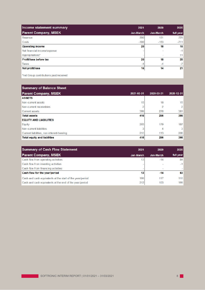| Income statement summary      | 2021      | 2020      | 2020      |
|-------------------------------|-----------|-----------|-----------|
| <b>Parent Company, MSEK</b>   | Jan-March | Jan-March | full year |
| Revenue                       | 200       | 181       | 729       |
| Costs                         | $-180$    | $-163$    | $-711$    |
| <b>Operating income</b>       | 20        | 18        | 18        |
| Net financial income/expense  |           |           | $-1$      |
| Appropriations*               |           |           | 11        |
| <b>Profit/loss before tax</b> | 20        | 18        | 28        |
| <b>Taxes</b>                  | -4        | $-4$      | $-7$      |
| Net profit/loss               | 16        | 14        | 21        |

\*net Group contributions paid/received

| <b>Summary of Balance Sheet</b>           |            |            |                 |
|-------------------------------------------|------------|------------|-----------------|
| <b>Parent Company, MSEK</b>               | 2021-03-31 | 2020-03-31 | 2020-12-31      |
| <b>ASSETS</b>                             |            |            |                 |
| Non-current assets                        | 15         | 18         | 15 <sup>1</sup> |
| Non-current receivables                   | n          | 2          | 2               |
| <b>Current assets</b>                     | 399        | 276        | 381             |
| <b>Total assets</b>                       | 416        | 296        | 398             |
| <b>EQUITY AND LIABILITIES</b>             |            |            |                 |
| Equity                                    | 203        | 179        | 187             |
| Non-current liabilities                   |            | 4          | 3               |
| Current liabilities, non-interest-bearing | 210        | 113        | 208             |
| <b>Total equity and liabilities</b>       | 416        | 296        | 398             |

| <b>Summary of Cash Flow Statement</b>                     | 2021      | 2020      | 2020      |
|-----------------------------------------------------------|-----------|-----------|-----------|
| <b>Parent Company, MSEK</b>                               | Jan-March | Jan-March | full year |
| Cash flow from operating activities                       | 13        | $-14$     | 84        |
| Cash flow from investing activities                       |           |           | $-1$      |
| Cash flow from financing activities                       |           |           |           |
| Cash flow for the year/period                             | 13        | $-14$     | 83        |
| Cash and cash equivalents at the start of the year/period | 199       | 117       | 116       |
| Cash and cash equivalents at the end of the year/period   | 212       | 103       | 199       |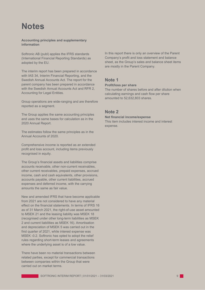# **Notes**

#### **Accounting principles and supplementary information**

Softronic AB (publ) applies the IFRS standards (International Financial Reporting Standards) as adopted by the EU.

The interim report has been prepared in accordance with IAS 34, Interim Financial Reporting, and the Swedish Annual Accounts Act. The report for the parent company has been prepared in accordance with the Swedish Annual Accounts Act and RFR 2, Accounting for Legal Entities.

Group operations are wide-ranging and are therefore reported as a segment.

The Group applies the same accounting principles and uses the same bases for calculation as in the 2020 Annual Report.

The estimates follow the same principles as in the Annual Accounts of 2020.

Comprehensive income is reported as an extended profit and loss account, including items previously recognised in equity.

The Group's financial assets and liabilities comprise accounts receivable, other non-current receivables, other current receivables, prepaid expenses, accrued income, cash and cash equivalents, other provisions, accounts payable, other current liabilities, accrued expenses and deferred income, with the carrying amounts the same as fair value.

New and amended IFRS that have become applicable from 2021 are not considered to have any material effect on the financial statements. In terms of IFRS 16 as of 31 March 2021, the right-of-use asset amounted to MSEK 21 and the leasing liability was MSEK 18 (recognised under other long-term liabilities as MSEK 2 and current liabilities as MSEK 16). Amortisation and depreciation of MSEK 5 was carried out in the first quarter of 2021, while interest expense was MSEK -0.2. Softronic has opted to adopt the relief rules regarding short-term leases and agreements where the underlying asset is of a low value.

There have been no material transactions between related parties, except for commercial transactions between companies within the Group that were carried out on market terms.

In this report there is only an overview of the Parent Company's profit and loss statement and balance sheet, as the Group's sales and balance sheet items are mostly in the Parent Company.

## **Note 1**

#### **Profit/loss per share**

The number of shares before and after dilution when calculating earnings and cash flow per share amounted to 52,632,803 shares.

### **Note 2**

#### **Net financial income/expense**

This item includes interest income and interest expense.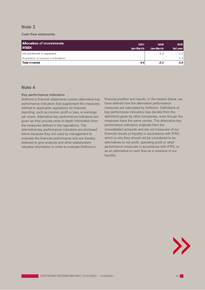## **Note 3**

#### **Cash flow statements**

| <b>Allocation of investments</b><br><b>IMSEK</b> | 2021<br>Jan-March | 2020<br>Jan-March | 2020<br>full year |
|--------------------------------------------------|-------------------|-------------------|-------------------|
| Net investments in equipment                     |                   | $-0.2$            | $-0.2$            |
| Acquisition of business combinations             |                   |                   | $-0.4$            |
| <b>Total invested</b>                            | 0.0               | $-0.2$            | $-0.6$            |

## **Note 4**

#### **Key performance indicators**

Softronic's financial statements contain alternative key performance indicators that supplement the measures defined in applicable regulations for financial reporting, such as income, profit or loss, or earnings per share. Alternative key performance indicators are given as they provide more in-depth information than the measures defined in the regulations. The alternative key performance indicators are disclosed below because they are used by management to evaluate the financial performance and are thereby believed to give analysts and other stakeholders valuable information in order to evaluate Softronic's

financial position and results. In the section below, we have defined how the alternative performance measures are calculated by Softronic. Definitions of key performance indicators may deviate from the definitions given by other companies, even though the measures have the same names. The alternative key performance indicators originate from the consolidated accounts and are not measures of our financial results or liquidity in accordance with IFRS, which is why they should not be considered to be alternatives to net profit, operating profit or other performance measures in accordance with IFRS, or as an alternative to cash flow as a measure of our liquidity.

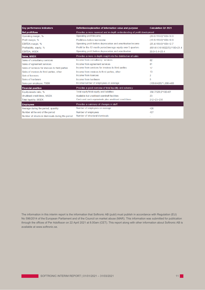| Key performance indicators                        | Definition/explanation of information value and purpose                  | <b>Calculation Q1 2021</b>           |  |
|---------------------------------------------------|--------------------------------------------------------------------------|--------------------------------------|--|
| Net profit/loss                                   | Provides a more nuanced and in-depth understanding of profit development |                                      |  |
| Operating margin, %                               | Operating profit/income                                                  | $(20.0/199.6)$ <sup>*</sup> 100=10.0 |  |
| Profit margin, %                                  | Profit/loss before tax/income                                            | $(19.9/199.6)$ <sup>*</sup> 100=10.0 |  |
| EBITDA margin, %                                  | Operating profit before depreciation and amortisation/income             | $(25.4/199.6)^*100=12.7$             |  |
| Profitability, equity, %                          | Profit for the 12-month period/average equity over 5 quarters            | (69141/(1616022/5))*100=21.4         |  |
| <b>EBITDA, MSEK</b>                               | Operating profit before depreciation and amortisation                    | $20.0 + 5.4 = 25.4$                  |  |
| <b>Sales, MSEK</b>                                | Provides a more in-depth insight into the distribution of sales          |                                      |  |
| Sales of consultancy services                     | Income from consultancy services                                         | 82                                   |  |
| Sales of agreement services                       | Income from agreement services                                           | 81                                   |  |
| Sales of services for invoices to third parties   | Income from services for invoices to third parties                       | 17                                   |  |
| Sales of invoices to third parties, other         | Income from invoices to third parties, other                             | 13                                   |  |
| Sale of licences                                  | Income from licences                                                     | 2                                    |  |
| Sales of hardware                                 | Income from hardware                                                     | 5                                    |  |
| Sales per employee, TSEK                          | Income/number of employees on average                                    | $(199.6/426)^*1,000=469$             |  |
| <b>Financial position</b>                         | Provides a good overview of total liquidity and solvency                 |                                      |  |
| Equity/assets ratio, %                            | Total equity/total equity and liabilities                                | 356.7/529.0*100=67                   |  |
| Unutilised credit lines, MSEK                     | Available but unutilised overdraft facilities                            | 23                                   |  |
| <b>Total liquidity, MSEK</b>                      | Cash and cash equivalents plus unutilised credit lines                   | $212+23=235$                         |  |
| <b>Employees</b>                                  | Provides a summary of changes in staff                                   |                                      |  |
| Average during the period, quantity               | Number of employees on average                                           | 426                                  |  |
| Number at the end of the period                   | Number of employees                                                      | 427                                  |  |
| Number of structural dismissals during the period | Number of structural dismissals                                          |                                      |  |

The information in this interim report is the information that Softronic AB (publ) must publish in accordance with Regulation (EU) No 596/2014 of the European Parliament and of the Council on market abuse (MAR). This information was submitted for publication through the offices of Per Adolfsson on 22 April 2021 at 8.00am (CET). This report along with other information about Softronic AB is available at [www.softronic.se.](http://www.softronic.se/)